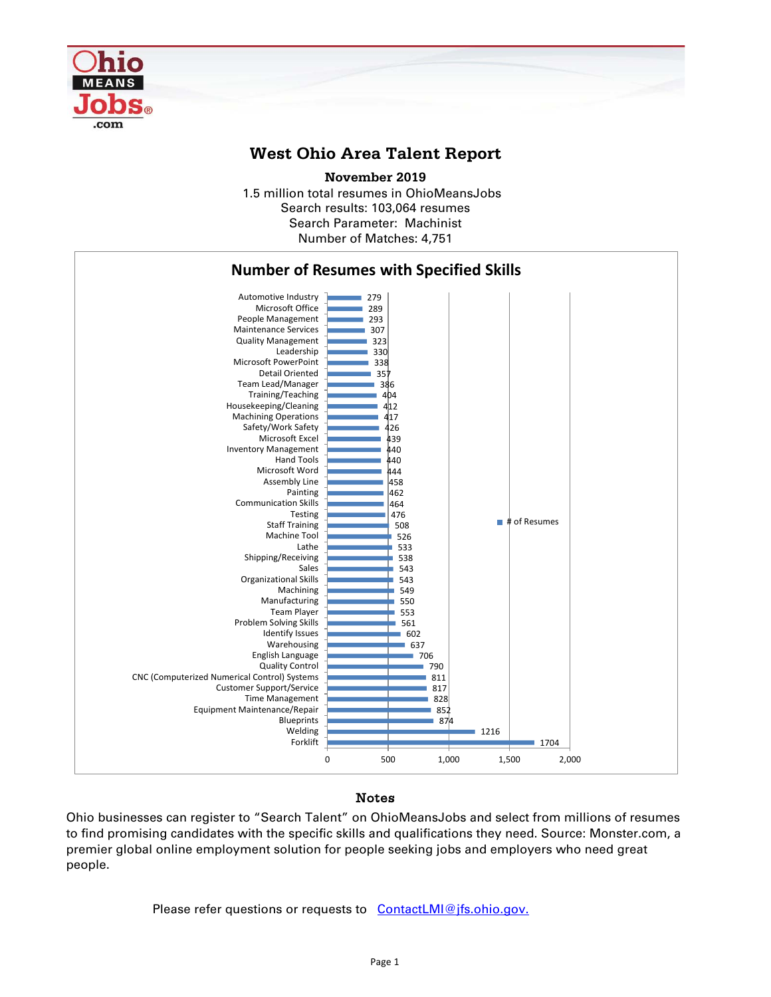

## **West Ohio Area Talent Report**

1.5 million total resumes in OhioMeansJobs Search results: 103,064 resumes Number of Matches: 4,751 **November 2019** Search Parameter: Machinist



## Notes

Ohio businesses can register to "Search Talent" on OhioMeansJobs and select from millions of resumes to find promising candidates with the specific skills and qualifications they need. Source: Monster.com, a premier global online employment solution for people seeking jobs and employers who need great people.

Please refer questions or requests to [ContactLMI@jfs.ohio.gov.](mailto:ContactLMI@jfs.ohio.gov.)